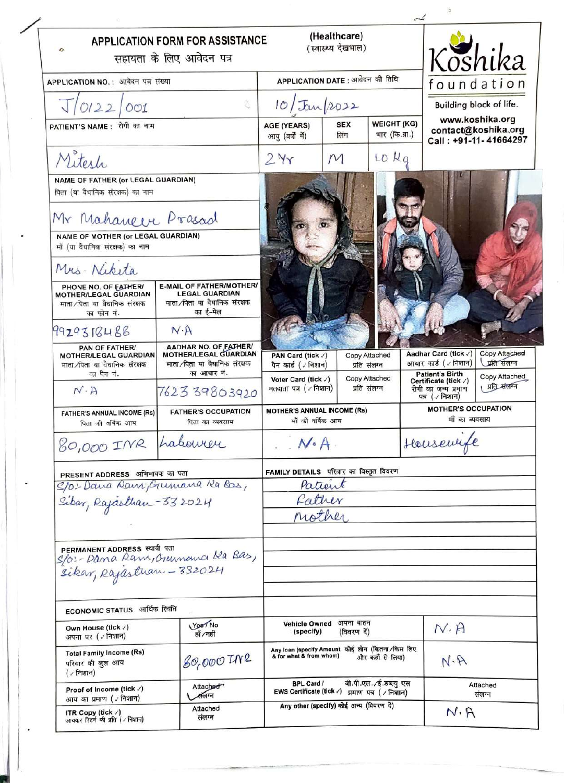| $\circ$                                                                                             | <b>APPLICATION FORM FOR ASSISTANCE</b><br>सहायता के लिए आवेदन पत्र                             | (Healthcare)<br>(स्वास्थ्य देखभाल)                                                             |                               |                                      |                                                                       | Koshika                                                         |  |
|-----------------------------------------------------------------------------------------------------|------------------------------------------------------------------------------------------------|------------------------------------------------------------------------------------------------|-------------------------------|--------------------------------------|-----------------------------------------------------------------------|-----------------------------------------------------------------|--|
| APPLICATION NO.: आवेदन पत्र संख्या                                                                  |                                                                                                | APPLICATION DATE : आवेदन की तिथि                                                               |                               |                                      |                                                                       | foundation                                                      |  |
| J/0122/001                                                                                          |                                                                                                | 10/Tau/2022                                                                                    |                               |                                      |                                                                       | Building block of life.                                         |  |
| PATIENT'S NAME: रोगी का नाम                                                                         |                                                                                                | <b>AGE (YEARS)</b><br>आयु (वर्षों में)                                                         | <b>SEX</b><br>लिंग            | <b>WEIGHT (KG)</b><br>भार (कि.ग्रा.) |                                                                       | www.koshika.org<br>contact@koshika.org<br>Call: +91-11-41664297 |  |
| Mitesh                                                                                              |                                                                                                | 2yr                                                                                            | M                             | LO Kg                                |                                                                       |                                                                 |  |
| NAME OF FATHER (or LEGAL GUARDIAN)<br>पिता (या वैधानिक संरक्षक) का नाम                              |                                                                                                |                                                                                                |                               |                                      |                                                                       |                                                                 |  |
| Mr Mahaneer Prasad                                                                                  |                                                                                                |                                                                                                |                               |                                      |                                                                       |                                                                 |  |
| NAME OF MOTHER (or LEGAL GUARDIAN)<br>माँ (या वैधानिक संरक्षक) का नाम                               |                                                                                                |                                                                                                |                               |                                      |                                                                       |                                                                 |  |
| Mrs. Niketa                                                                                         |                                                                                                |                                                                                                |                               |                                      |                                                                       |                                                                 |  |
| PHONE NO. OF EATHER/<br><b>MOTHER/LEGAL GUARDIAN</b><br>माता ∕पिता या वैधानिक संरक्षक<br>का फोन नं. | E-MAIL OF FATHER/MOTHER/<br><b>LEGAL GUARDIAN</b><br>माता ∕पिता या वैधानिक संरक्षक<br>का ई-मेल |                                                                                                |                               |                                      |                                                                       |                                                                 |  |
| 9929318488                                                                                          | N·A                                                                                            |                                                                                                |                               |                                      |                                                                       |                                                                 |  |
| <b>PAN OF FATHER/</b><br>MOTHER/LEGAL GUARDIAN<br>माता ∕पिता या वैधानिक संरक्षक<br>का पैन नं.       | AADHAR NO. OF FATHER!<br>MOTHER/LEGAL GUARDIAN<br>माता /पिता या वैधानिक संरक्षक<br>का आधार नं. | PAN Card (tick /)<br>पैन कार्ड (√निशान)                                                        | Copy Attached<br>प्रति संलग्न |                                      | Aadhar Card (tick /)<br>आधार कार्ड (√निशान)<br><b>Patient's Birth</b> | Copy Attached<br>प्रति संलग्न                                   |  |
| $N \cdot A$                                                                                         | 762339803920                                                                                   | Copy Attached<br>Voter Card (tick /)<br>प्रति संलग्न<br>मतदाता पत्र ( / निशान)                 |                               |                                      | Certificate (tick /)<br>रोगी का जन्म प्रमाण<br>पत्र ( / निशान)        | Copy Attached<br>प्रति संलग्न                                   |  |
| <b>FATHER'S ANNUAL INCOME (Rs)</b><br>पिता की वर्षिक आय                                             | <b>FATHER'S OCCUPATION</b><br>पिता का व्यवसाय                                                  | <b>MOTHER'S ANNUAL INCOME (Rs)</b><br>माँ की वर्षिक आय                                         |                               |                                      | <b>MOTHER'S OCCUPATION</b><br>माँ का व्यवसाय                          |                                                                 |  |
| 80,000 INR Labourer                                                                                 |                                                                                                | $N \cdot A$                                                                                    |                               |                                      | Housemble                                                             |                                                                 |  |
| PRESENT ADDRESS अभिभावक का पता                                                                      |                                                                                                | FAMILY DETAILS परिवार का विस्तृत विवरण                                                         |                               |                                      |                                                                       |                                                                 |  |
| S/O: Dana Ram; Grumana Ra Bas,                                                                      | Patient                                                                                        |                                                                                                |                               |                                      |                                                                       |                                                                 |  |
| Sibar, Rajasthan-332024                                                                             | Pather<br>nother                                                                               |                                                                                                |                               |                                      |                                                                       |                                                                 |  |
|                                                                                                     |                                                                                                |                                                                                                |                               |                                      |                                                                       |                                                                 |  |
| PERMANENT ADDRESS स्थायी पता                                                                        | S/O:-Dana Ram, Guimana Ka Bas,<br>Sikar, Rajastran - 332024                                    |                                                                                                |                               |                                      |                                                                       |                                                                 |  |
| ECONOMIC STATUS आर्थिक स्थिति                                                                       |                                                                                                |                                                                                                |                               |                                      |                                                                       |                                                                 |  |
| Own House (tick /)<br>अपना घर ( / निशान)                                                            | Yes / No<br>हाँ /नहीं                                                                          | Vehicle Owned अपना वाहन<br>(specify)<br>(विवरण दें)                                            |                               | N.H                                  |                                                                       |                                                                 |  |
| <b>Total Family Income (Rs)</b><br>परिवार की कूल आय<br>$($ / निशान)                                 | 80,000 INR                                                                                     | Any loan (specify Amount कोई लोन (कितना/किस लिए<br>& for what & from whom)<br>और कहाँ से लिया) |                               |                                      | N.A                                                                   |                                                                 |  |
| Proof of Income (tick /)<br>आय का प्रमाण ( / निशान)                                                 | Attached <sup>7</sup><br>∠सलग्न                                                                | वी.पी.एल. ∕ई.डब्ल्यु एस<br><b>BPL Card /</b><br>EWS Certificate (tick /) प्रमाण पत्र (/ निशान) |                               |                                      | Attached<br>संलग्न                                                    |                                                                 |  |
| Attached<br>ITR Copy (tick $\sqrt{ }$ )<br>संलग्न<br>आयकर रिटर्न की प्रति ( / निशान)                |                                                                                                | Any other (specify) कोई अन्य (विवरण दें)                                                       |                               |                                      |                                                                       | $N \cdot A$                                                     |  |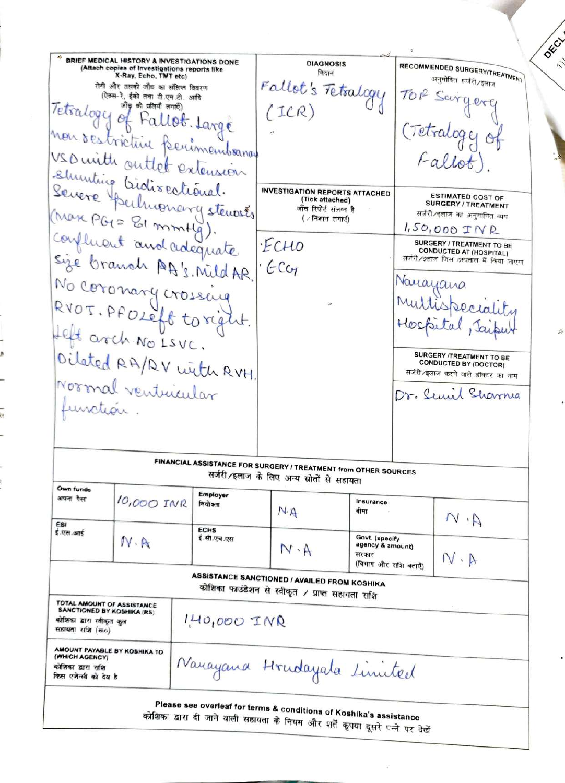BRIEF MEDICAL HISTORY & INVESTIGATIONS DONE RECOMMENDED SURGERY/TREATMENT **DIAGNOSIS** (Attach copies of Investigations reports like<br>X-Ray, Echo, TMT etc) निदान अनुमोदित सर्जरी ⁄इलाज Fallot's Tetralogy रोगी और उसकी जाँच का संक्षिप्त विवरण TOP ऐक्स-रे, ईको तथा टी.एम.टी. आदि Tetralogy of Fallot. Large  $(ICR)$ (Tetralogy of non restrictive perimembranas USD with outlet extension shunting biolisectional. **INVESTIGATION REPORTS ATTACHED ESTIMATED COST OF** (Tick attached) **SURGERY / TREATMENT** (Max PGI = 81 mmHg). जाँच रिपोर्ट संलग्न है सर्जरी/इलाज का अनुमानित व्यय  $($  / निशान लगाएं)  $1.50,000$   $TNR$ confluent and adequate ·ECHO SURGERY / TREATMENT TO BE **CONDUCTED AT (HOSPITAL)** सर्जरी/इलाज जिस हस्पताल में किया जाएगा · Eca Nauayana No coronary crossing RVOT. PFOLEft toright. Helt arch No LSVC. Oilated RA/RV with RVH. SURGERY /TREATMENT TO BE **CONDUCTED BY (DOCTOR)** सर्जरी/इलाज करने वाले डॉक्टर का नाम Normal ventucular Dr. Semil Sharma function. FINANCIAL ASSISTANCE FOR SURGERY / TREATMENT from OTHER SOURCES सर्जरी/इलाज के लिए अन्य स्रोतों से सहायता Own funds Employer अपना पैसा 10,000 INR Insurance नियोक्ता  $N.A$ बीमा  $M, M$ FRI **ECHS** ई.एस.आई Govt. (specify ई.सी.एच.एस  $N \cdot A$ agency & amount)  $N \cdot A$ सरकार  $N \cdot A$ (विभाग और राशि बताएँ) **ASSISTANCE SANCTIONED / AVAILED FROM KOSHIKA** कोशिका फाउंडेशन से स्वीकृत / प्राप्त सहायता राशि **TOTAL AMOUNT OF ASSISTANCE**<br>SANCTIONED BY KOSHIKA (RS) 1,40,000 INR कोशिका द्वारा स्वीकृत कुल सहायता राशि (स०) AMOUNT PAYABLE BY KOSHIKA TO (WHICH AGENCY) Nanayana Hrudayala Limited कोशिका द्वारा राशि किस एजेन्सी को देय है Please see overleaf for terms & conditions of Koshika's assistance कोशिका द्वारा दी जाने वाली सहायता के नियम और शर्तें कृपया दूसरे पन्ने पर देखें

DECT

7.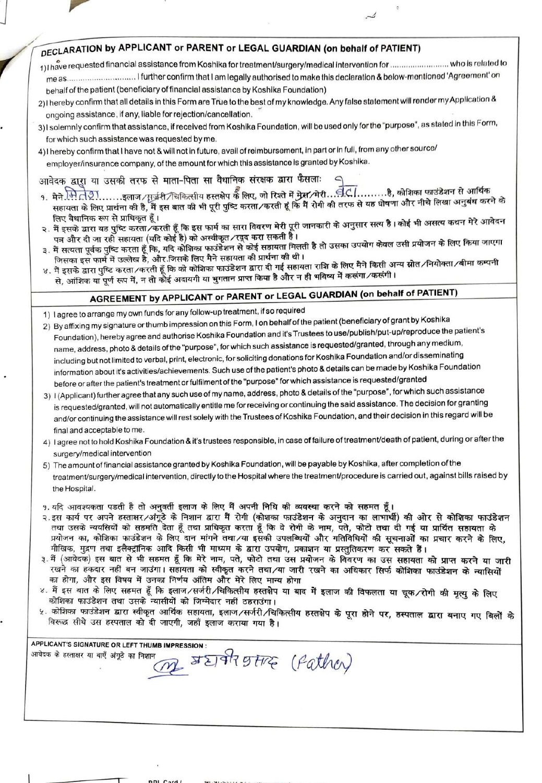## DECLARATION by APPLICANT or PARENT or LEGAL GUARDIAN (on behalf of PATIENT)

- behalf of the patient (beneficiary of financial assistance by Koshika Foundation)
- 2) I hereby confirm that all details in this Form are True to the best of my knowledge. Any false statement will render my Application & ongoing assistance, if any, liable for rejection/cancellation.
- 3) I solemnly confirm that assistance, if received from Koshika Foundation, will be used only for the "purpose", as stated in this Form, for which such assistance was requested by me.
- 4) I hereby confirm that I have not & will not in future, avail of reimbursement, in part or in full, from any other source/ employer/insurance company, of the amount for which this assistance is granted by Koshika.

## आवेदक द्वारा या उसकी तरफ से माता-पिता सा वैधानिक संरक्षक द्वारा फैसलाः

- सहायता के लिए प्रार्थना की है, मैं इस बात की भी पूरी पुष्टि करता ⁄ करती हूं कि मैं रोगी की तरफ से यह घोषणा और नीचे लिखा अनुबंध करने के लिए वैधानिक रूप से प्राधिकृत हूँ।
- २. मैं इसके द्वारा यह पुष्टि करता ∕करती हूँ कि इस फार्म का सारा विवरण मेरी पूरी जानकारी के अनुसार सत्य है। कोई भी असत्य कथन मेरे आवेदन पत्र और दी जा रही सहायता (यदि कोई है) को अस्वीकृत ∕रदूद करा सकती है।
- मैं सत्यता पूर्वक पुष्टि करता हूँ कि, यदि कोशिका फाउंडेशन से कोई सहायता मिलती है तो उसका उपयोग केवल उसी प्रयोजन के लिए किया जाएगा जिसका इस फार्म में उल्लेख है, और जिसके लिए मैने सहायता की प्रार्थना की थी।
- ४. मैं इसके द्वारा पुष्टि करता ∕करती हूँ कि को कोशिका फाउंडेशन द्वारा दी गई सहायता राशि के लिए मैने किसी अन्य स्रोत ∕नियोक्ता ∕बीमा कम्पनी से, आंशिक या पूर्ण रूप में, न तो कोई अदायगी या भुगतान प्राप्त किया है और न ही भविष्य में करूंगा ∕करूंगी।

## AGREEMENT by APPLICANT or PARENT or LEGAL GUARDIAN (on behalf of PATIENT)

- 1) I agree to arrange my own funds for any follow-up treatment, if so required
- 2) By affixing my signature or thumb impression on this Form, I on behalf of the patient (beneficiary of grant by Koshika Foundation), hereby agree and authorise Koshika Foundation and it's Trustees to use/publish/put-up/reproduce the patient's name, address, photo & details of the "purpose", for which such assistance is requested/granted, through any medium, including but not limited to verbal, print, electronic, for soliciting donations for Koshika Foundation and/or disseminating information about it's activities/achievements. Such use of the patient's photo & details can be made by Koshika Foundation before or after the patient's treatment or fulfilment of the "purpose" for which assistance is requested/granted
- 3) I (Applicant) further agree that any such use of my name, address, photo & details of the "purpose", for which such assistance is requested/granted, will not automatically entitle me for receiving or continuing the said assistance. The decision for granting and/or continuing the assistance will rest solely with the Trustees of Koshika Foundation, and their decision in this regard will be final and acceptable to me.
- 4) I agree not to hold Koshika Foundation & it's trustees responsible, in case of failure of treatment/death of patient, during or after the surgery/medical intervention
- 5) The amount of financial assistance granted by Koshika Foundation, will be payable by Koshika, after completion of the treatment/surgery/medical intervention, directly to the Hospital where the treatment/procedure is carried out, against bills raised by the Hospital.
- 9. यदि आवश्यकता पडती है तो अनवर्ती इलाज के लिए मैं अपनी निधि की व्यवस्था करने को सहमत हैं।
- २.इस कार्य पर अपने हस्ताक्षर/अंगूठे के निशान द्वारा मैं रोगी (कोशका फाउंडेशन के अनुदान का लाभार्थी) की ओर से कोशिका फाउंडेशन तथा उसके न्ययसियों को सहमति देता हूँ तथा प्राधिकृत करता हूँ कि वे रोगी के नाम, पते, फोटो तथा दी गई या प्रार्थित सहायता के प्रयोजन का, कोशिका फाउंडेशन के लिए दान मांगने तथा ⁄या इसकी उपलब्धियों और गतिविधियों की सूचनाओं का प्रचार करने के लिए. मौखिक, मद्रण तथा इलैक्टॉनिक आदि किसी भी माध्यम के द्वारा उपयोग, प्रकाशन या प्रस्तुतिकरण कर सकते हैं।
- ३. मैं (आवेदक) इस बात से भी सहमत हूँ कि मेरे नाम, पते, फोटो तथा उस प्रयोजन के विवरण का उस सहायता को प्राप्त करने या जारी रखने का हकदार नहीं बन जाउंगा। सहायता को स्वीकृत करने तथा ∕या जारी रखने का अधिकार सिर्फ कोशिका फाउंडेशन के न्यासियों का होगा, और इस विषय में उनका निर्णय अंतिम और मेरे लिए मान्य होगा
- ४. मैं इस बात के लिए सहमत हूँ कि इलाज∕सर्जरी∕चिकित्सीय हस्तक्षेप या बाद में इलाज की विफलता या चूक∕रोगी की मृत्यू के लिए कोशिका फाउंडेशन तथा उसके न्यासीयों को जिम्मेदार नहीं ठहराउंगा।
- ५. कोशिका फाउंडेशन द्वारा स्वीकृत आर्थिक सहायता, इलाज ∕सर्जरी ∕चिकित्सीय हस्तक्षेप के पूरा होने पर, हस्पताल द्वारा बनाए गए बिलों के विरूद्ध सीधे उस हस्पताल को दी जाएगी, जहाँ इलाज कराया गया है।

APPLICANT'S SIGNATURE OR LEFT THUMB IMPRESSION : SEPPRETTRE (Pather) आवेदक के हस्ताक्षर या बाएँ अंगुठे का निशान